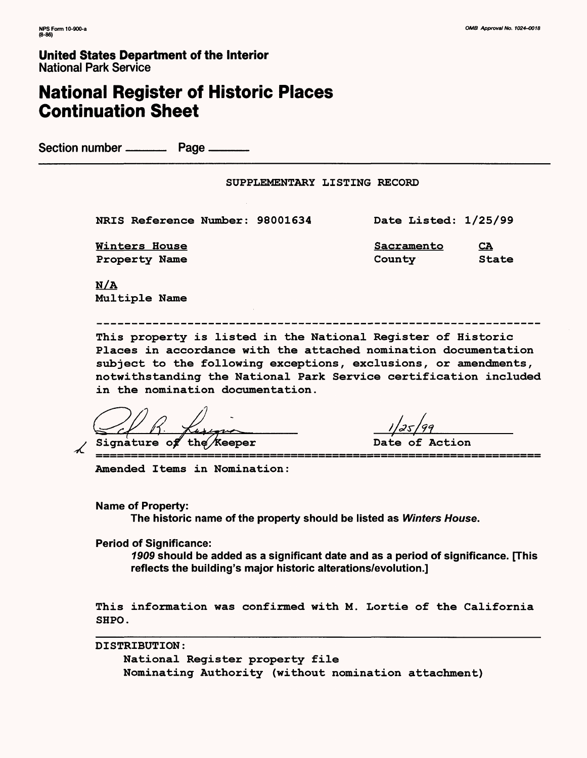**United States Department of the Interior** National Park Service

# **National Register of Historic Places Continuation Sheet**

Section number \_\_\_\_\_\_\_\_\_\_\_ Page \_

### SUPPLEMENTARY LISTING RECORD

NRIS Reference Number: 98001634

Winters House Property Name

Date Listed: 1/25/99

Sacramento County CA State

N/A Multiple Name

This property is listed in the National Register of Historic Places in accordance with the attached nomination documentation subject to the following exceptions, exclusions, or amendments, notwithstanding the National Park Service certification included in the nomination documentation.

Signature of the *K*eeper **business** Date of Action

Amended Items in Nomination:

**Name of Property:**

**The historic name of the property should be listed as Winters House.**

**Period of Significance:**

**1909 should be added as a significant date and as a period of significance. [This reflects the building's major historic alterations/evolution.]**

This information was confirmed with M. Lortie of the California SHPO.

DISTRIBUTION:

National Register property file Nominating Authority (without nomination attachment)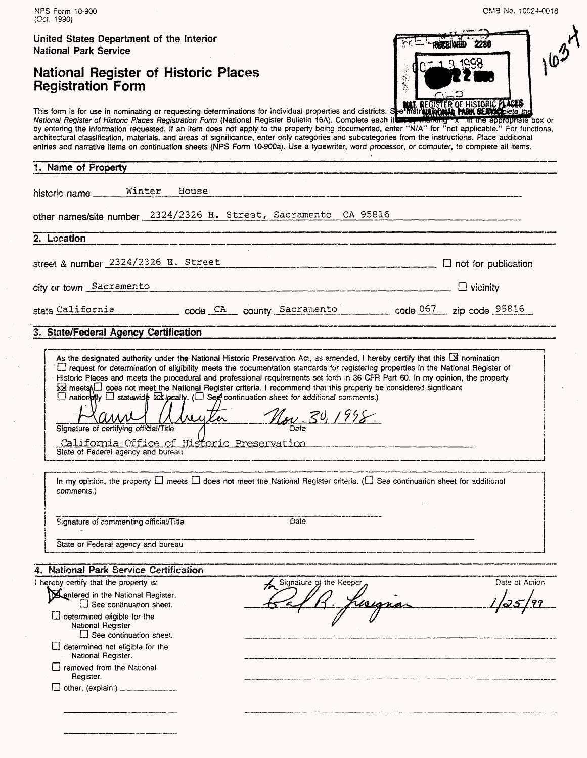| United States Department of the Interior<br><b>National Park Service</b>                                                                                                                                                                                                                                                                                                                                                                                                                                                                                                                                                                                                                                                                              | 2280<br><b>AHOHIWHD</b>                   |
|-------------------------------------------------------------------------------------------------------------------------------------------------------------------------------------------------------------------------------------------------------------------------------------------------------------------------------------------------------------------------------------------------------------------------------------------------------------------------------------------------------------------------------------------------------------------------------------------------------------------------------------------------------------------------------------------------------------------------------------------------------|-------------------------------------------|
| <b>National Register of Historic Places</b><br><b>Registration Form</b>                                                                                                                                                                                                                                                                                                                                                                                                                                                                                                                                                                                                                                                                               | 禁塞                                        |
| This form is for use in nominating or requesting determinations for individual properties and districts. See mstrate REGISTER OF HISTORIC PLACES<br>National Register of Historic Places Registration Form (National Register Bulletin 16A). Complete each it with the sprophale box or<br>by entering the information requested. If an item does not apply to the property being documented, enter "N/A" for "not applicable." For functions,<br>architectural classification, materials, and areas of significance, enter only categories and subcategories from the instructions. Place additional<br>entries and narrative items on continuation sheets (NPS Form 10-900a). Use a typewriter, word processor, or computer, to complete all items. |                                           |
| 1. Name of Property                                                                                                                                                                                                                                                                                                                                                                                                                                                                                                                                                                                                                                                                                                                                   |                                           |
| Winter<br>House<br>historic name                                                                                                                                                                                                                                                                                                                                                                                                                                                                                                                                                                                                                                                                                                                      |                                           |
| other names/site number 2324/2326 H. Street, Sacramento CA 95816                                                                                                                                                                                                                                                                                                                                                                                                                                                                                                                                                                                                                                                                                      |                                           |
| 2. Location                                                                                                                                                                                                                                                                                                                                                                                                                                                                                                                                                                                                                                                                                                                                           |                                           |
| street & number 2324/2326 H. Street                                                                                                                                                                                                                                                                                                                                                                                                                                                                                                                                                                                                                                                                                                                   | $\Box$ not for publication                |
| city or town Sacramento                                                                                                                                                                                                                                                                                                                                                                                                                                                                                                                                                                                                                                                                                                                               | $\Box$ vicinity                           |
| state California code CA county Sacramento code 067 zip code 95816                                                                                                                                                                                                                                                                                                                                                                                                                                                                                                                                                                                                                                                                                    |                                           |
| 3. State/Federal Agency Certification                                                                                                                                                                                                                                                                                                                                                                                                                                                                                                                                                                                                                                                                                                                 |                                           |
| As the designated authority under the National Historic Preservation Act, as amended, I hereby certify that this [X nomination<br>L1 request for determination of eligibility meets the documentation standards for registering properties in the National Register of<br>Historic Places and meets the procedural and professional requirements set forth in 36 CFR Part 60. In my opinion, the property                                                                                                                                                                                                                                                                                                                                             |                                           |
| xx meets   does not meet the National Register criteria. I recommend that this property be considered significant<br>$\Box$ nationally $\Box$ statewide $\boxtimes$ locally. ( $\Box$ See continuation sheet for additional comments.)<br>$\begin{smallmatrix} \Lambda & \Lambda & \Lambda & \Lambda \end{smallmatrix}$<br>Signature of certifying official/Title<br><u>California Office of Historic Preservation</u><br>State of Federal agency and bureau                                                                                                                                                                                                                                                                                          | Nov. 30, 1998                             |
| In my opinion, the property $\Box$ meets $\Box$ does not meet the National Register criteria. ( $\Box$ See continuation sheet for additional<br>comments.)                                                                                                                                                                                                                                                                                                                                                                                                                                                                                                                                                                                            |                                           |
| Signature of commenting official/Title<br>Date                                                                                                                                                                                                                                                                                                                                                                                                                                                                                                                                                                                                                                                                                                        |                                           |
| State or Federal agency and bureau                                                                                                                                                                                                                                                                                                                                                                                                                                                                                                                                                                                                                                                                                                                    |                                           |
| <b>National Park Service Certification</b>                                                                                                                                                                                                                                                                                                                                                                                                                                                                                                                                                                                                                                                                                                            |                                           |
| I hereby certify that the property is:                                                                                                                                                                                                                                                                                                                                                                                                                                                                                                                                                                                                                                                                                                                | Signature of the Keeper<br>Date of Action |
| Sentered in the National Register.<br>$\square$ See continuation sheet.                                                                                                                                                                                                                                                                                                                                                                                                                                                                                                                                                                                                                                                                               |                                           |
| determined eligible for the<br>National Register<br>$\Box$ See continuation sheet.                                                                                                                                                                                                                                                                                                                                                                                                                                                                                                                                                                                                                                                                    |                                           |
| $\Box$ determined not eligible for the<br>National Register.                                                                                                                                                                                                                                                                                                                                                                                                                                                                                                                                                                                                                                                                                          |                                           |
| $\Box$ removed from the National<br>Register.                                                                                                                                                                                                                                                                                                                                                                                                                                                                                                                                                                                                                                                                                                         |                                           |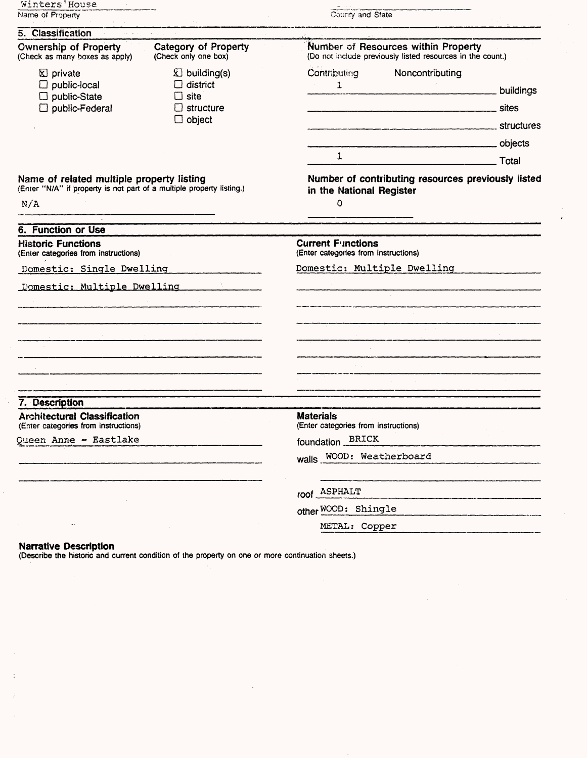| Winters'House<br>Name of Property                                                                                         |                                                                               | County and State                                                                                  |           |  |
|---------------------------------------------------------------------------------------------------------------------------|-------------------------------------------------------------------------------|---------------------------------------------------------------------------------------------------|-----------|--|
| 5. Classification                                                                                                         |                                                                               |                                                                                                   |           |  |
| <b>Ownership of Property</b><br>(Check as many boxes as apply)                                                            | Category of Property<br>(Check only one box)                                  | Number of Resources within Property<br>(Do not include previously listed resources in the count.) |           |  |
| <b>X</b> private<br>public-local<br>public-State<br>public-Federal                                                        | $\Sigma$ building(s)<br>$\Box$ district<br>site<br>structure<br>$\Box$ object | Contributing<br>Noncontributing<br>$\mathbf{1}$<br>$\mathbf{1}$                                   | buildings |  |
| Name of related multiple property listing<br>(Enter "N/A" if property is not part of a multiple property listing.)<br>N/A |                                                                               | Total<br>Number of contributing resources previously listed<br>in the National Register<br>0      |           |  |
| <b>6. Function or Use</b>                                                                                                 |                                                                               |                                                                                                   |           |  |
| <b>Historic Functions</b><br>(Enter categories from instructions)                                                         |                                                                               | <b>Current Functions</b><br>(Enter categories from instructions)                                  |           |  |
| Domestic: Single Dwelling                                                                                                 |                                                                               | Domestic: Multiple Dwelling                                                                       |           |  |
| Domestic: Multiple Dwelling                                                                                               |                                                                               |                                                                                                   |           |  |
|                                                                                                                           |                                                                               |                                                                                                   |           |  |
| 7. Description<br><b>Architectural Classification</b>                                                                     |                                                                               | <b>Materials</b>                                                                                  |           |  |
| (Enter categories from instructions)                                                                                      |                                                                               | (Enter categories from instructions)                                                              |           |  |
| Queen Anne - Eastlake                                                                                                     |                                                                               | foundation BRICK<br>walls WOOD: Weatherboard                                                      |           |  |
|                                                                                                                           |                                                                               | roof ASPHALT                                                                                      |           |  |
|                                                                                                                           |                                                                               | other WOOD: Shingle                                                                               |           |  |
|                                                                                                                           |                                                                               | METAL: Copper                                                                                     |           |  |

### **Narrative Description**

(Describe the historic and current condition of the property on one or more continuation sheets.)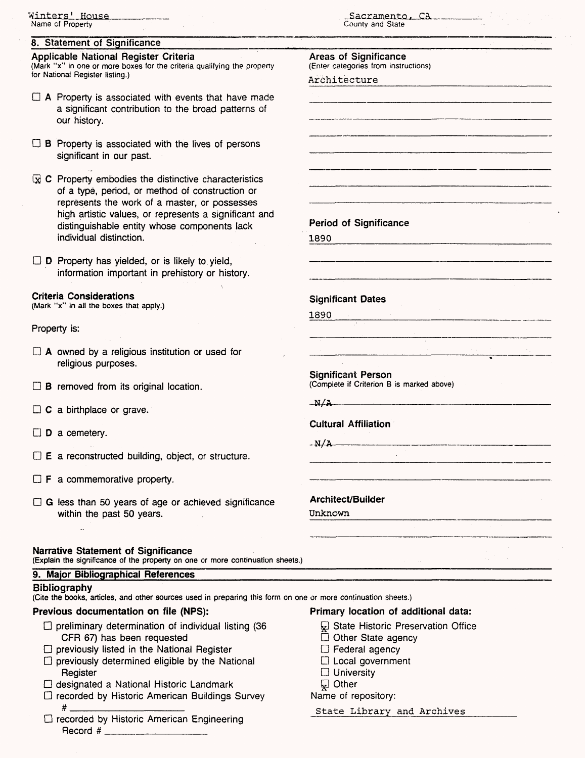| Winters' House<br>Name of Property                                                                                                                                                                                                                                                                    | Sacramento, CA<br>County and State                                                                                  |
|-------------------------------------------------------------------------------------------------------------------------------------------------------------------------------------------------------------------------------------------------------------------------------------------------------|---------------------------------------------------------------------------------------------------------------------|
| 8. Statement of Significance                                                                                                                                                                                                                                                                          |                                                                                                                     |
| Applicable National Register Criteria<br>(Mark "x" in one or more boxes for the criteria qualifying the property<br>for National Register listing.)                                                                                                                                                   | <b>Areas of Significance</b><br>(Enter categories from instructions)<br>Architecture                                |
| $\Box$ A Property is associated with events that have made<br>a significant contribution to the broad patterns of<br>our history.                                                                                                                                                                     |                                                                                                                     |
| $\Box$ <b>B</b> Property is associated with the lives of persons<br>significant in our past.                                                                                                                                                                                                          |                                                                                                                     |
| $\boxdot$ C Property embodies the distinctive characteristics<br>of a type, period, or method of construction or<br>represents the work of a master, or possesses<br>high artistic values, or represents a significant and<br>distinguishable entity whose components lack<br>individual distinction. | <b>Period of Significance</b><br>1890                                                                               |
| $\Box$ D Property has yielded, or is likely to yield,<br>information important in prehistory or history.                                                                                                                                                                                              |                                                                                                                     |
| <b>Criteria Considerations</b><br>(Mark "x" in all the boxes that apply.)                                                                                                                                                                                                                             | <b>Significant Dates</b><br>1890                                                                                    |
| Property is:                                                                                                                                                                                                                                                                                          | .<br>In the complete the complete was defined to the product with the complete and a series where the production of |
| $\Box$ A owned by a religious institution or used for<br>religious purposes.                                                                                                                                                                                                                          |                                                                                                                     |
| $\Box$ <b>B</b> removed from its original location.                                                                                                                                                                                                                                                   | <b>Significant Person</b><br>(Complete if Criterion B is marked above)                                              |
| C a birthplace or grave.                                                                                                                                                                                                                                                                              | $\Delta V$<br><b>Cultural Affiliation</b>                                                                           |
| D a cemetery.                                                                                                                                                                                                                                                                                         | $-M/A$                                                                                                              |
| $\square$ E a reconstructed building, object, or structure.                                                                                                                                                                                                                                           |                                                                                                                     |
| $\Box$ <b>F</b> a commemorative property.                                                                                                                                                                                                                                                             |                                                                                                                     |
| $\Box$ G less than 50 years of age or achieved significance<br>within the past 50 years.                                                                                                                                                                                                              | <b>Architect/Builder</b><br>Unknown                                                                                 |
| <b>Narrative Statement of Significance</b><br>(Explain the significance of the property on one or more continuation sheets.)                                                                                                                                                                          |                                                                                                                     |
| 9. Major Bibliographical References<br><b>Bibliography</b>                                                                                                                                                                                                                                            |                                                                                                                     |
| (Cite the books, articles, and other sources used in preparing this form on one or more continuation sheets.)<br>Previous documentation on file (NPS):                                                                                                                                                | Primary location of additional data:                                                                                |

- $\Box$  preliminary determination of individual listing (36 CFR 67) has been requested
- $\square$  previously listed in the National Register
- $\square$  previously determined eligible by the National Register
- D designated a National Historic Landmark
- D recorded by Historic American Buildings Survey #\_\_\_\_\_\_\_\_\_\_\_\_\_\_
- D recorded by Historic American Engineering Record # \_\_\_\_\_\_\_\_\_\_\_\_\_

- $\overline{\omega}$  State Historic Preservation Office<br>  $\overline{\Box}$  Other State agency
- 
- $\Box$  Federal agency
- CD Local government
- $\square$  University
- g Other

### Name of repository:

State Library and Archives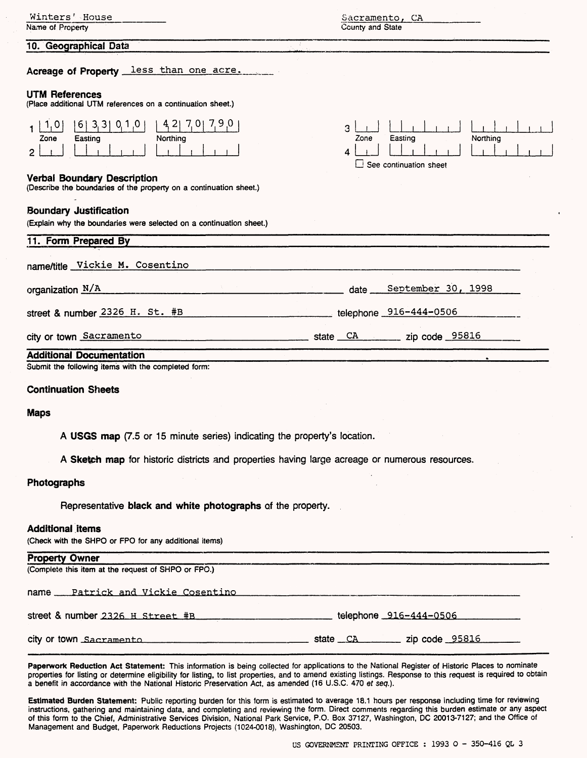| Winters' House<br>Name of Property                                                                                               | Sacramento, CA<br>County and State                                                                                                                                                                                                                                                                                                                                                                                   |
|----------------------------------------------------------------------------------------------------------------------------------|----------------------------------------------------------------------------------------------------------------------------------------------------------------------------------------------------------------------------------------------------------------------------------------------------------------------------------------------------------------------------------------------------------------------|
| 10. Geographical Data                                                                                                            |                                                                                                                                                                                                                                                                                                                                                                                                                      |
| Acreage of Property less than one acre.                                                                                          |                                                                                                                                                                                                                                                                                                                                                                                                                      |
| <b>UTM References</b><br>(Place additional UTM references on a continuation sheet.)                                              |                                                                                                                                                                                                                                                                                                                                                                                                                      |
| $7,0$  <br>7,9,0<br>42<br>1, 0<br>$6$   3, 3   0, 1, 0<br>Easting<br>Northing<br>Zone<br>2<br><b>Verbal Boundary Description</b> | 3<br>Zone<br>Easting<br>Northing<br>4<br>See continuation sheet                                                                                                                                                                                                                                                                                                                                                      |
| (Describe the boundaries of the property on a continuation sheet.)                                                               |                                                                                                                                                                                                                                                                                                                                                                                                                      |
| <b>Boundary Justification</b><br>(Explain why the boundaries were selected on a continuation sheet.)                             |                                                                                                                                                                                                                                                                                                                                                                                                                      |
| 11. Form Prepared By                                                                                                             |                                                                                                                                                                                                                                                                                                                                                                                                                      |
| name/title Vickie M. Cosentino                                                                                                   |                                                                                                                                                                                                                                                                                                                                                                                                                      |
| organization N/A                                                                                                                 | September 30, 1998<br>date.                                                                                                                                                                                                                                                                                                                                                                                          |
| street & number 2326 H. St. #B                                                                                                   | telephone 916-444-0506                                                                                                                                                                                                                                                                                                                                                                                               |
| city or town Sacramento                                                                                                          | $\frac{1}{\sqrt{1-\frac{1}{2}}\sqrt{1-\frac{1}{2}}\sqrt{1-\frac{1}{2}}\sqrt{1-\frac{1}{2}}\sqrt{1-\frac{1}{2}}\sqrt{1-\frac{1}{2}}\sqrt{1-\frac{1}{2}}\sqrt{1-\frac{1}{2}}\sqrt{1-\frac{1}{2}}\sqrt{1-\frac{1}{2}}\sqrt{1-\frac{1}{2}}\sqrt{1-\frac{1}{2}}\sqrt{1-\frac{1}{2}}\sqrt{1-\frac{1}{2}}\sqrt{1-\frac{1}{2}}\sqrt{1-\frac{1}{2}}\sqrt{1-\frac{1}{2}}\sqrt{1-\frac{1}{2}}\sqrt{1-\frac{1}{2}}\sqrt{1-\frac$ |
| <b>Additional Documentation</b>                                                                                                  |                                                                                                                                                                                                                                                                                                                                                                                                                      |
| Submit the following items with the completed form:                                                                              |                                                                                                                                                                                                                                                                                                                                                                                                                      |
| <b>Continuation Sheets</b>                                                                                                       |                                                                                                                                                                                                                                                                                                                                                                                                                      |
| <b>Maps</b>                                                                                                                      |                                                                                                                                                                                                                                                                                                                                                                                                                      |
| A USGS map (7.5 or 15 minute series) indicating the property's location.                                                         |                                                                                                                                                                                                                                                                                                                                                                                                                      |
| A Sketch map for historic districts and properties having large acreage or numerous resources.                                   |                                                                                                                                                                                                                                                                                                                                                                                                                      |
| Photographs                                                                                                                      |                                                                                                                                                                                                                                                                                                                                                                                                                      |
| Representative black and white photographs of the property.                                                                      |                                                                                                                                                                                                                                                                                                                                                                                                                      |
| <b>Additional items</b><br>(Check with the SHPO or FPO for any additional items)                                                 |                                                                                                                                                                                                                                                                                                                                                                                                                      |
| <b>Property Owner</b><br>(Complete this item at the request of SHPO or FPO.)                                                     |                                                                                                                                                                                                                                                                                                                                                                                                                      |
|                                                                                                                                  |                                                                                                                                                                                                                                                                                                                                                                                                                      |
|                                                                                                                                  |                                                                                                                                                                                                                                                                                                                                                                                                                      |
| street & number 2326 H Street #B ________________________telephone 916-444-0506 ____________________                             |                                                                                                                                                                                                                                                                                                                                                                                                                      |
|                                                                                                                                  |                                                                                                                                                                                                                                                                                                                                                                                                                      |
|                                                                                                                                  |                                                                                                                                                                                                                                                                                                                                                                                                                      |

Paperwork Reduction Act Statement: This information is being collected for applications to the National Register of Historic Places to nominate properties for listing or determine eligibility for listing, to list properties, and to amend existing listings. Response to this request is required to obtain a benefit in accordance with the National Historic Preservation Act, as amended (16 U.S.C. 470 et seq.).

Estimated Burden Statement: Public reporting burden for this form is estimated to average 18.1 hours per response including time for reviewing instructions, gathering and maintaining data, and completing and reviewing the form. Direct comments regarding this burden estimate or any aspect of this form to the Chief, Administrative Services Division, National Park Service, P.O. Box 37127, Washington, DC 20013-7127; and the Office of Management and Budget, Paperwork Reductions Projects (1024-0018), Washington, DC 20503.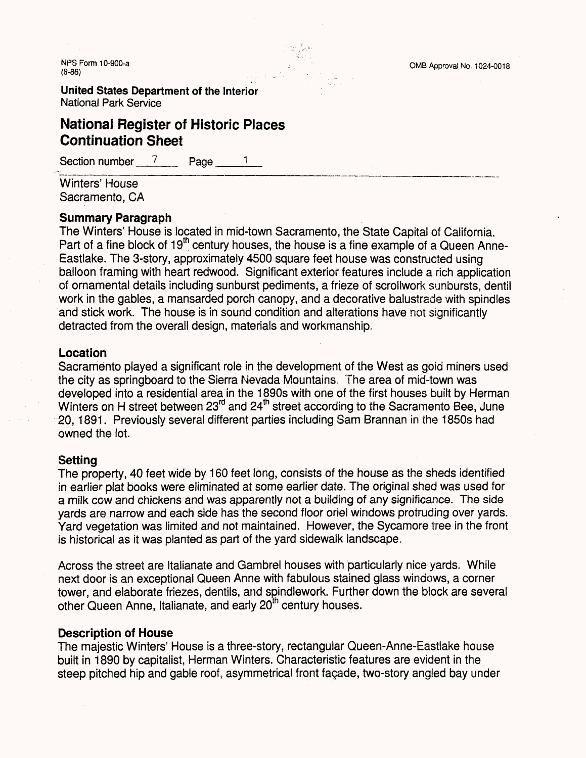NPS Form 10-900-a . . OMB Approval No. 1024-0018 **(8-86; ,**

**United States Department of the Interior** National Park Service

## **National Register of Historic Places Continuation Sheet**

Section number  $\frac{7}{2}$  Page

Winters' House Sacramento, CA

### **Summary Paragraph**

The Winters' House is located in mid-town Sacramento, the State Capital of California. Part of a fine block of  $19<sup>th</sup>$  century houses, the house is a fine example of a Queen Anne-Eastlake. The 3-story, approximately 4500 square feet house was constructed using balloon framing with heart redwood. Significant exterior features include a rich application of ornamental details including sunburst pediments, a frieze of scrollwork sunbursts, dentil work in the gables, a mansarded porch canopy, and a decorative balustrade with spindles and stick work. The house is in sound condition and alterations have not significantly detracted from the overall design, materials and workmanship,

### **Location**

Sacramento played a significant role in the development of the West as gold miners used the city as springboard to the Sierra Nevada Mountains. The area of mid-town was developed into a residential area in the 1890s with one of the first houses built by Herman Winters on H street between 23<sup>rd</sup> and 24<sup>th</sup> street according to the Sacramento Bee, June 20,1891. Previously several different parties including Sam Brannan in the 1850s had owned the lot.

### **Setting**

The property, 40 feet wide by 160 feet long, consists of the house as the sheds identified in earlier plat books were eliminated at some earlier date. The original shed was used for a milk cow and chickens and was apparently not a building of any significance. The side yards are narrow and each side has the second floor oriel windows protruding over yards. Yard vegetation was limited and not maintained. However, the Sycamore tree in the front is historical as it was planted as part of the yard sidewalk landscape.

Across the street are Italianate and Gambrel houses with particularly nice yards. While next door is an exceptional Queen Anne with fabulous stained glass windows, a corner tower, and elaborate friezes, dentils, and spindlework. Further down the block are several other Queen Anne, Italianate, and early 20" century houses.

### **Description of House**

The majestic Winters' House is a three-story, rectangular Queen-Anne-Eastlake house built in 1890 by capitalist, Herman Winters. Characteristic features are evident in the steep pitched hip and gable roof, asymmetrical front facade, two-story angled bay under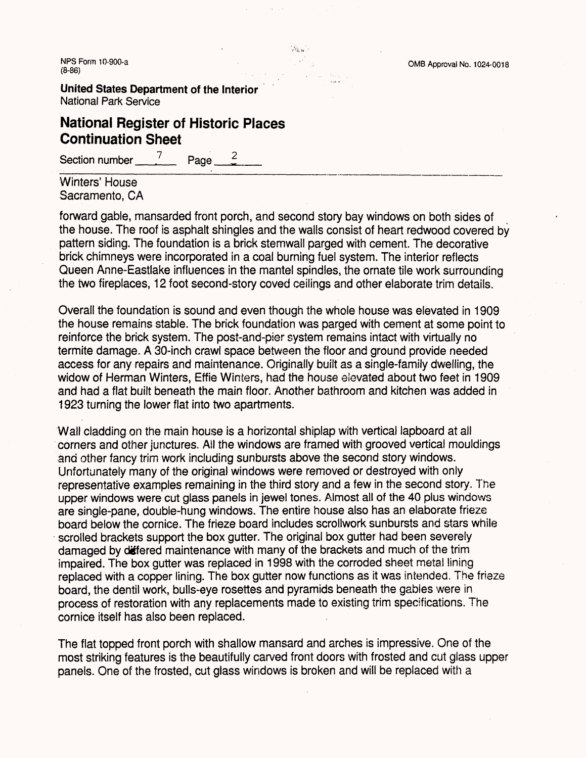**United States Department of the Interior** National Park Service

# **National Register of Historic Places Continuation Sheet**

Section number  $\frac{7}{2}$  Page  $\frac{2}{3}$ 

Winters' House Sacramento, CA

forward gable, mansarded front porch, and second story bay windows on both sides of the house. The roof is asphalt shingles and the walls consist of heart redwood covered by pattern siding. The foundation is a brick stemwall parged with cement. The decorative brick chimneys were incorporated in a coal burning fuel system. The interior reflects Queen Anne-Eastlake influences in the mantel spindles, the ornate tile work surrounding the two fireplaces, 12 foot second-story coved ceilings and other elaborate trim details.

 $\mathcal{H}_{\mathbf{G},\mathbf{M}}$  .

Overall the foundation is sound and even though the whole house was elevated in 1909 the house remains stable. The brick foundation was parged with cement at some point to reinforce the brick system. The post-and-pier system remains intact with virtually no termite damage. A 30-inch crawl space between the floor and ground provide needed access for any repairs and maintenance. Originally built as a single-family dwelling, the widow of Herman Winters, Effie Winters, had the house elevated about two feet in 1909 and had a flat built beneath the main floor. Another bathroom and kitchen was added in 1923 turning the lower flat into two apartments.

Wall cladding on the main house is a horizontal shiplap with vertical lapboard at all corners and other junctures. Ail the windows are framed with grooved vertical mouldings and other fancy trim work including sunbursts above the second story windows. Unfortunately many of the original windows were removed or destroyed with only representative examples remaining in the third story and a few in the second story. The upper windows were cut glass panels in jewel tones. Almost all of the 40 plus windows are single-pane, double-hung windows. The entire house also has an elaborate frieze board below the cornice. The frieze board includes scrollwork sunbursts and stars while scrolled brackets support the box gutter. The original box gutter had been severely damaged by differed maintenance with many of the brackets and much of the trim impaired. The box gutter was replaced in 1998 with the corroded sheet metal lining replaced with a copper lining. The box gutter now functions as it was intended. The frieze board, the dentil work, bulls-eye rosettes and pyramids beneath the gables were in process of restoration with any replacements made to existing trim specifications. The cornice itself has also been replaced.

The flat topped front porch with shallow mansard and arches is impressive. One of the most striking features is the beautifully carved front doors with frosted and cut glass upper panels. One of the frosted, cut glass windows is broken and will be replaced with a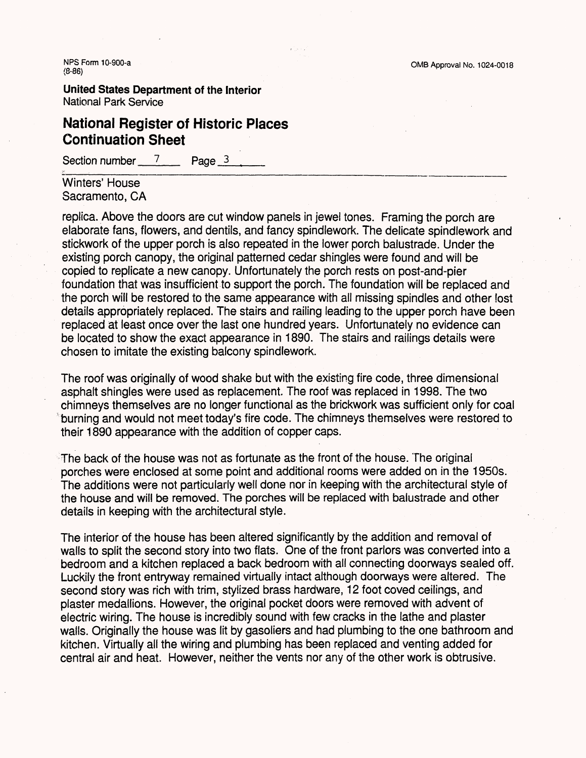**United States Department of the Interior** National Park Service

# **National Register of Historic Places Continuation Sheet**

Section number  $\frac{7}{2}$  Page 3

Winters' House Sacramento, CA

replica. Above the doors are cut window panels in jewel tones. Framing the porch are elaborate fans, flowers, and dentils, and fancy spindlework. The delicate spindlework and stickwork of the upper porch is also repeated in the lower porch balustrade. Under the existing porch canopy, the original patterned cedar shingles were found and will be copied to replicate a new canopy. Unfortunately the porch rests on post-and-pier foundation that was insufficient to support the porch. The foundation will be replaced and the porch will be restored to the same appearance with all missing spindles and other lost details appropriately replaced. The stairs and railing leading to the upper porch have been replaced at least once over the last one hundred years. Unfortunately no evidence can be located to show the exact appearance in 1890. The stairs and railings details were chosen to imitate the existing balcony spindlework.

The roof was originally of wood shake but with the existing fire code, three dimensional asphalt shingles were used as replacement. The roof was replaced in 1998. The two chimneys themselves are no longer functional as the brickwork was sufficient only for coal burning and would not meet today's fire code. The chimneys themselves were restored to their 1890 appearance with the addition of copper caps.

The back of the house was not as fortunate as the front of the house. The original porches were enclosed at some point and additional rooms were added on in the 1950s. The additions were not particularly well done nor in keeping with the architectural style of the house and will be removed. The porches will be replaced with balustrade and other details in keeping with the architectural style.

The interior of the house has been altered significantly by the addition and removal of walls to split the second story into two flats. One of the front parlors was converted into a bedroom and a kitchen replaced a back bedroom with all connecting doorways sealed off. Luckily the front entryway remained virtually intact although doorways were altered. The second story was rich with trim, stylized brass hardware, 12 foot coved ceilings, and plaster medallions. However, the original pocket doors were removed with advent of electric wiring. The house is incredibly sound with few cracks in the lathe and plaster walls. Originally the house was lit by gasoliers and had plumbing to the one bathroom and kitchen. Virtually all the wiring and plumbing has been replaced and venting added for central air and heat. However, neither the vents nor any of the other work is obtrusive.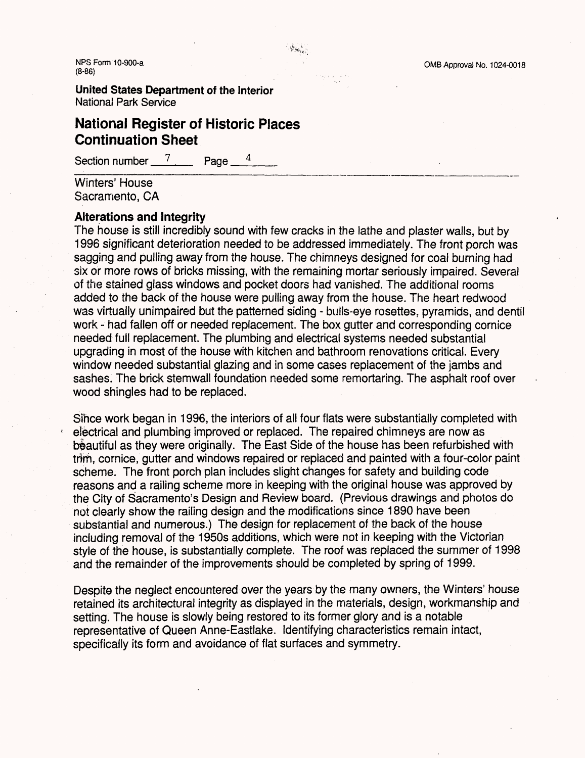**United States Department of the Interior** National Park Service

# **National Register of Historic Places Continuation Sheet**

Section number  $\frac{7}{4}$  Page

Winters' House Sacramento, CA

### **Alterations and Integrity**

The house is still incredibly sound with few cracks in the lathe and plaster walls, but by 1996 significant deterioration needed to be addressed immediately. The front porch was sagging and pulling away from the house. The chimneys designed for coal burning had six or more rows of bricks missing, with the remaining mortar seriously impaired. Several of the stained glass windows and pocket doors had vanished. The additional rooms added to the back of the house were pulling away from the house. The heart redwood was virtually unimpaired but the patterned siding - buiis-eye rosettes, pyramids, and dentil work - had fallen off or needed replacement. The box gutter and corresponding cornice needed full replacement. The plumbing and electrical systems needed substantial upgrading in most of the house with kitchen and bathroom renovations critical. Every window needed substantial glazing and in some cases replacement of the jambs and sashes. The brick stemwall foundation needed some remortaring. The asphalt roof over wood shingles had to be replaced.

 $\label{eq:3} \sum_{i=1}^{n} \sum_{j=1}^{n} \sum_{i=1}^{n} \sum_{j=1}^{n} \sum_{j=1}^{n} \sum_{j=1}^{n} \sum_{j=1}^{n} \sum_{j=1}^{n} \sum_{j=1}^{n} \sum_{j=1}^{n} \sum_{j=1}^{n} \sum_{j=1}^{n} \sum_{j=1}^{n} \sum_{j=1}^{n} \sum_{j=1}^{n} \sum_{j=1}^{n} \sum_{j=1}^{n} \sum_{j=1}^{n} \sum_{j=1}^{n} \sum_{j=1}^{n} \sum_{j=1}^{n} \sum_{$ 

Since work began in 1996, the interiors of all four flats were substantially completed with electrical and plumbing improved or replaced. The repaired chimneys are now as beautiful as they were originally. The East Side of the house has been refurbished with trim, cornice, gutter and windows repaired or replaced and painted with a four-color paint scheme. The front porch plan includes slight changes for safety and building code reasons and a railing scheme more in keeping with the original house was approved by the City of Siacramento's Design and Review board. (Previous drawings and photos do not clearly show the railing design and the modifications since 1890 have been substantial and numerous.) The design for replacement of the back of the house including removal of the 1950s additions, which were not in keeping with the Victorian style of the house, is substantially complete. The roof was replaced the summer of 1998 and the remainder of the improvements should be completed by spring of 1999.

Despite the neglect encountered over the years by the many owners, the Winters' house retained its architectural integrity as displayed in the materials, design, workmanship and setting. The house is slowly being restored to its former glory and is a notable representative of Queen Anne-Eastlake. Identifying characteristics remain intact, specifically its form and avoidance of flat surfaces and symmetry.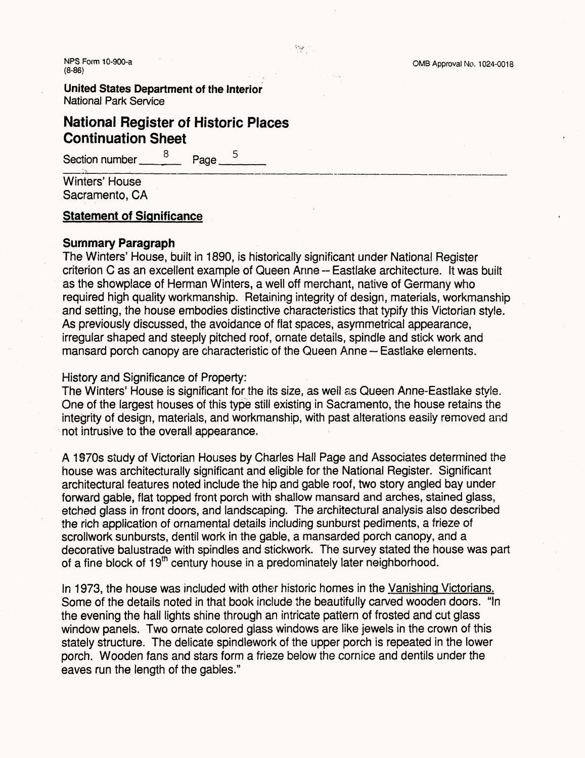**United States Department of the Interior** National Park Service

# **National Register of Historic Places Continuation Sheet** er of Histori<br>neet<br><u>8 Page <sup>5</sup></u>

Section number  $\frac{8}{2}$  Page

Winters' House Sacramento, CA

### **Statement of Significance**

### **Summary Paragraph**

The Winters' House, built in 1890, is historically significant under National Register criterion C as an excellent example of Queen Anne ~ Eastlake architecture. It was built as the showplace of Herman Winters, a well off merchant, native of Germany who required high quality workmanship. Retaining integrity of design, materials, workmanship and setting, the house embodies distinctive characteristics that typify this Victorian style. As previously discussed, the avoidance of flat spaces, asymmetrical appearance, irregular shaped and steeply pitched roof, ornate details, spindle and stick work and mansard porch canopy are characteristic of the Queen Anne — Eastlake elements.

History and Significance of Property:

The Winters' House is significant for the its size, as weil as Queen Anne-Eastlake style. One of the largest houses of this type still existing in Sacramento, the house retains the integrity of design, materials, and workmanship, with past alterations easily removed and not intrusive to the overall appearance.

A 1970s study of Victorian Houses by Charles Hall Page and Associates determined the house was architecturally significant and eligible for the National Register. Significant architectural features noted include the hip and gable roof, two story angled bay under forward gable, flat topped front porch with shallow mansard and arches, stained glass, etched glass in front doors, and landscaping. The architectural analysis also described the rich application of ornamental details including sunburst pediments, a frieze of scrollwork sunbursts, dentil work in the gable, a mansarded porch canopy, and a decorative balustrade with spindles and stickwork. The survey stated the house was part of a fine block of 19<sup>th</sup> century house in a predominately later neighborhood.

In 1973, the house was included with other historic homes in the Vanishing Victorians. Some of the details noted in that book include the beautifully carved wooden doors. "In the evening the hall lights shine through an intricate pattern of frosted and cut glass window panels. Two ornate colored glass windows are like jewels in the crown of this stately structure. The delicate spindlework of the upper porch is repeated in the lower porch. Wooden fans and stars form a frieze below the cornice and dentils under the eaves run the length of the gables."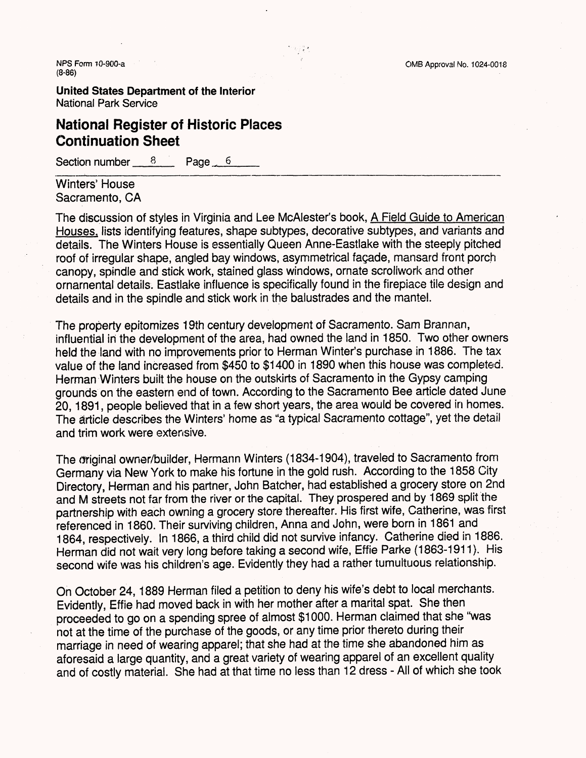NPS Form 10-900-a **OMB Approval No. 1024-0018** (8-86)

**United States Department of the Interior** National Park Service

# **National Register of Historic Places Continuation Sheet**

Section number 8 Page 6

Winters' House Sacramento, CA

The discussion of styles in Virginia and Lee McAlester's book, A Field Guide to American Houses, lists identifying features, shape subtypes, decorative subtypes, and variants and details. The Winters House is essentially Queen Anne-Eastlake with the steeply pitched roof of irregular shape, angled bay windows, asymmetrical fagade, mansard front porch canopy, spindle and stick work, stained glass windows, ornate scrollwork and other ornamental details. Eastlake influence is specifically found in the firepiace tile design and details and in the spindle and stick work in the balustrades and the mantel.

The property epitomizes 19th century development of Sacramento. Sam Brannan, influential in the development of the area, had owned the land in 1850. Two other owners held the land with no improvements prior to Herman Winter's purchase in 1886. The tax value of the land increased from \$450 to \$1400 in 1890 when this house was completed. Herman Winters built the house on the outskirts of Sacramento in the Gypsy camping grounds on the eastern end of town. According to the Sacramento Bee article dated June 20,1891, people believed that in a few short years, the area would be covered in homes. The article describes the Winters' home as "a typical Sacramento cottage", yet the detail and trim work were extensive.

The original owner/builder, Hermann Winters (1834-1904), traveled to Sacramento from Germany via New York to make his fortune in the gold rush. According to the 1858 City Directory, Herman and his partner, John Batcher, had established a grocery store on 2nd and M streets not far from the river or the capital. They prospered and by 1869 split the partnership with each owning a grocery store thereafter. His first wife, Catherine, was first referenced in 1860. Their surviving children, Anna and John, were born in 1861 and 1864, respectively. In 1866, a third child did not survive infancy. Catherine died in 1886. Herman did not wait very long before taking a second wife, Effie Parke (1863-1911). His second wife was his children's age. Evidently they had a rather tumultuous relationship.

On October 24,1889 Herman filed a petition to deny his wife's debt to local merchants. Evidently, Effie had moved back in with her mother after a marital spat. She then proceeded to go on a spending spree of almost \$1000. Herman claimed that she "was not at the time of the purchase of the goods, or any time prior thereto during their marriage in need of wearing apparel; that she had at the time she abandoned him as aforesaid a large quantity, and a great variety of wearing apparel of an excellent quality and of costly material. She had at that time no less than 12 dress - All of which she took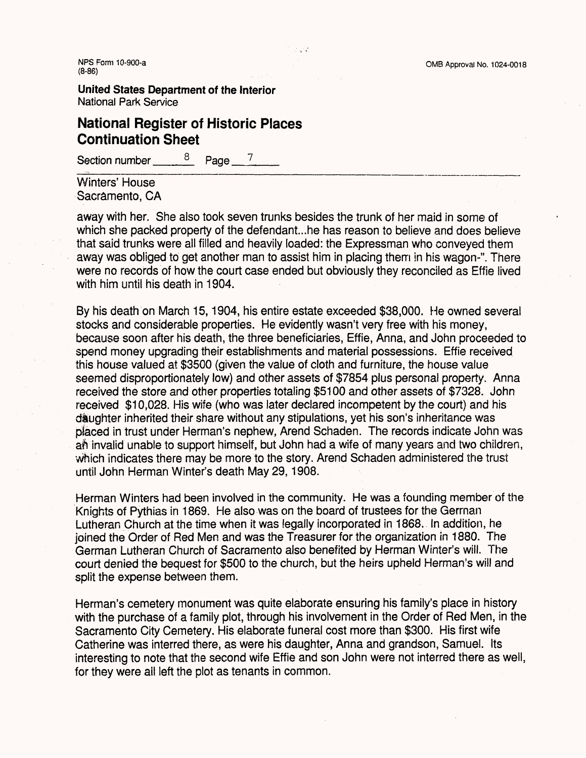**United States Department of the Interior** National Park Service

# **National Register of Historic Places Continuation Sheet**

Section number  $\frac{8}{2}$  Page  $\frac{7}{4}$ 

Winters' House Sacramento, CA

away with her. She also took seven trunks besides the trunk of her maid in some of which she packed property of the defendant...he has reason to believe and does believe that said trunks were all filled and heavily loaded: the Expressman who conveyed them away was obliged to get another man to assist him in placing them in his wagon-". There were no records of how the court case ended but obviously they reconciled as Effie lived with him until his death in 1904.

By his death on March 15,1904, his entire estate exceeded \$38,000. He owned several stocks and considerable properties. He evidently wasn't very free with his money, because soon after his death, the three beneficiaries, Effie, Anna, and John proceeded to spend money upgrading their establishments and material possessions. Effie received this house valued at \$3500 (given the value of cloth and furniture, the house value seemed disproportionately low) and other assets of \$7854 plus personal property. Anna received the store and other properties totaling \$5100 and other assets of \$7328. John received \$10,028. His wife (who was later declared incompetent by the court) and his daughter inherited their share without any stipulations, yet his son's inheritance was pfeced in trust under Herman's nephew, Arend Schaden. The records indicate John was aft invalid unable to support himself, but John had a wife of many years and two children, which indicates there may be more to the story. Arend Schaden administered the trust until John Herman Winter's death May 29,1908.

Herman Winters had been involved in the community. He was a founding member of the Knights of Pythias in 1869. He also was on the board of trustees for the German Lutheran Church at the time when it was legally incorporated in 1868. In addition, he joined the Order of Red Men and was the Treasurer for the organization in 1880. The German Lutheran Church of Sacramento also benefited by Herman Winter's will. The court denied the bequest for \$500 to the church, but the heirs upheld Herman's will and split the expense between them.

Herman's cemetery monument was quite elaborate ensuring his family's place in history with the purchase of a family plot, through his involvement in the Order of Red Men, in the Sacramento City Cemetery. His elaborate funeral cost more than \$300. His first wife Catherine was interred there, as were his daughter, Anna and grandson, Samuel. Its interesting to note that the second wife Effie and son John were not interred there as well, for they were ail left the plot as tenants in common.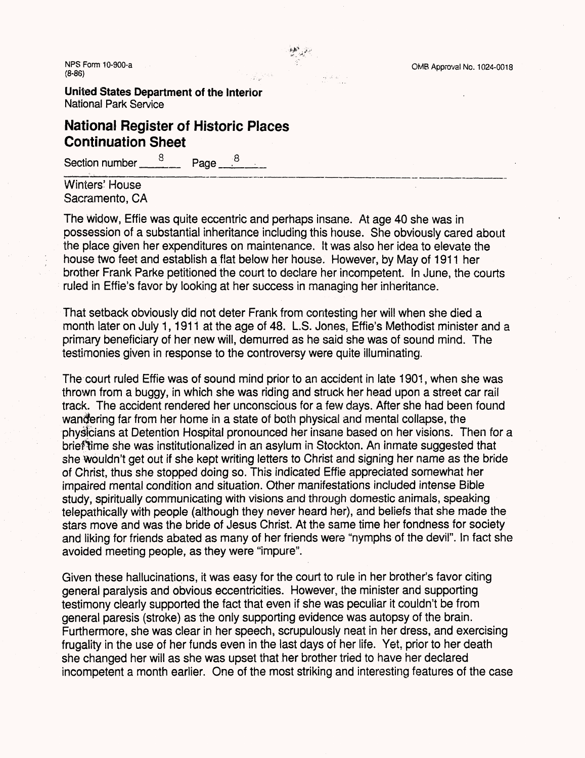NPS Form 10-900-a (a) in the set of the set of the set of the Second CMB Approval No. 1024-0018 **/Q QC\** ^O""OO/

**United States Department of the Interior** National Park Service

# **National Register of Historic Places Continuation Sheet**

Section number  $\frac{8}{2}$  Page  $\frac{8}{2}$ 

Winters' House Sacramento, CA

The widow, Effie was quite eccentric and perhaps insane. At age 40 she was in possession of a substantial inheritance including this house. She obviously cared about the place given her expenditures on maintenance. It was also her idea to elevate the house two feet and establish a flat below her house. However, by May of 1911 her brother Frank Parke petitioned the court to declare her incompetent. In June, the courts ruled in Effie's favor by looking at her success in managing her inheritance.

That setback obviously did not deter Frank from contesting her will when she died a month later on July 1, 1911 at the age of 48. L.S. Jones, Effie's Methodist minister and a primary beneficiary of her new will, demurred as he said she was of sound mind. The testimonies given in response to the controversy were quite illuminating.

The court ruled Effie was of sound mind prior to an accident in late 1901, when she was thrown from a buggy, in which she was riding and struck her head upon a street car rail track. The accident rendered her unconscious for a few days. After she had been found wandering far from her home in a state of both physical and mental collapse, the physicians at Detention Hospital pronounced her insane based on her visions. Then for a brief time she was institutionalized in an asylum in Stockton. An inmate suggested that she wouldn't get out if she kept writing letters to Christ and signing her name as the bride of Christ, thus she stopped doing so. This indicated Effie appreciated somewhat her impaired mental condition and situation. Other manifestations included intense Bible study, spiritually communicating with visions and through domestic animals, speaking telepathically with people (although they never heard her), and beliefs that she made the stars move and was the bride of Jesus Christ. At the same time her fondness for society and liking for friends abated as many of her friends were "nymphs of the devil". In fact she avoided meeting people, as they were "impure".

Given these hallucinations, it was easy for the court to rule in her brother's favor citing general paralysis and obvious eccentricities. However, the minister and supporting testimony clearly supported the fact that even if she was peculiar it couldn't be from general paresis (stroke) as the only supporting evidence was autopsy of the brain. Furthermore, she was clear in her speech, scrupulously neat in her dress, and exercising frugality in the use of her funds even in the last days of her life. Yet, prior to her death she changed her will as she was upset that her brother tried to have her declared incompetent a month earlier. One of the most striking and interesting features of the case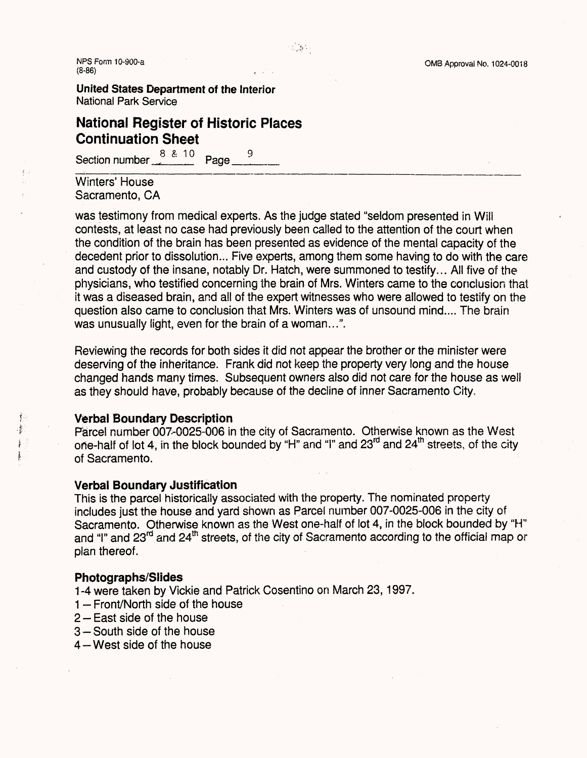nPS Form 10-900-a **OMB** Approval No. 1024-0018<br>
(8-86) (8-86) , . -,

**United States Department of the interior** National Park Service

# **National Register of Historic Places Continuation Sheet**

Section number  $\frac{88.10}{2}$  Page  $\frac{9}{2}$ 

Winters' House Sacramento, CA

was testimony from medical experts. As the judge stated "seldom presented in Will contests, at least no case had previously been called to the attention of the court when the condition of the brain has been presented as evidence of the mental capacity of the decedent prior to dissolution... Five experts, among them some having to do with the care and custody of the insane, notably Dr. Hatch, were summoned to testify... All five of the physicians, who testified concerning the brain of Mrs. Winters came to the conclusion that it was a diseased brain, and all of the expert witnesses who were allowed to testify on the question also came to conclusion that Mrs. Winters was of unsound mind.... The brain was unusually light, even for the brain of a woman...".

Reviewing the records for both sides it did not appear the brother or the minister were deserving of the inheritance. Frank did not keep the property very long and the house changed hands many times. Subsequent owners also did not care for the house as well as they should have, probably because of the decline of inner Sacramento City.

### **Verbal Boundary Description**

Parcel number 007-0025-006 in the city of Sacramento. Otherwise known as the West one-half of lot 4, in the block bounded by "H" and "I" and 23rd and 24th streets, of the city of Sacramento.

### **Verbal Boundary Justification**

This is the parcel historically associated with the property. The nominated property includes just the house and yard shown as Parcel number 007-0025-006 in the city of Sacramento. Otherwise known as the West one-half of lot 4, in the block bounded by "H" and "I" and 23<sup>rd</sup> and 24<sup>th</sup> streets, of the city of Sacramento according to the official map or plan thereof.

### **Photographs/Slides**

1 -4 were taken by Vickie and Patrick Cosentino on March 23,1997.

- $1 -$  Front/North side of the house
- 2 East side of the house
- 3 South side of the house
- $4 -$  West side of the house